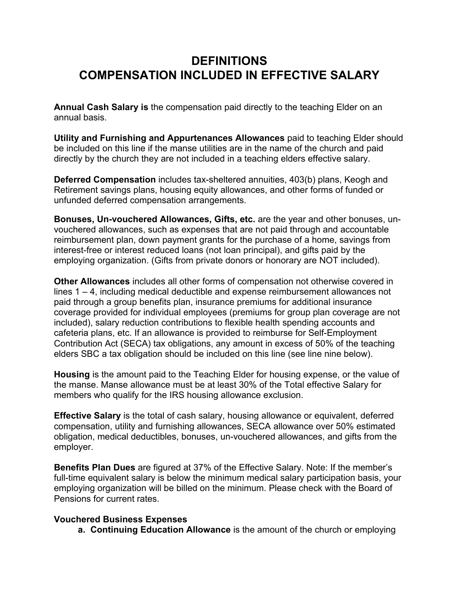## **DEFINITIONS COMPENSATION INCLUDED IN EFFECTIVE SALARY**

**Annual Cash Salary is** the compensation paid directly to the teaching Elder on an annual basis.

**Utility and Furnishing and Appurtenances Allowances** paid to teaching Elder should be included on this line if the manse utilities are in the name of the church and paid directly by the church they are not included in a teaching elders effective salary.

**Deferred Compensation** includes tax-sheltered annuities, 403(b) plans, Keogh and Retirement savings plans, housing equity allowances, and other forms of funded or unfunded deferred compensation arrangements.

**Bonuses, Un-vouchered Allowances, Gifts, etc.** are the year and other bonuses, unvouchered allowances, such as expenses that are not paid through and accountable reimbursement plan, down payment grants for the purchase of a home, savings from interest-free or interest reduced loans (not loan principal), and gifts paid by the employing organization. (Gifts from private donors or honorary are NOT included).

**Other Allowances** includes all other forms of compensation not otherwise covered in lines 1 – 4, including medical deductible and expense reimbursement allowances not paid through a group benefits plan, insurance premiums for additional insurance coverage provided for individual employees (premiums for group plan coverage are not included), salary reduction contributions to flexible health spending accounts and cafeteria plans, etc. If an allowance is provided to reimburse for Self-Employment Contribution Act (SECA) tax obligations, any amount in excess of 50% of the teaching elders SBC a tax obligation should be included on this line (see line nine below).

**Housing** is the amount paid to the Teaching Elder for housing expense, or the value of the manse. Manse allowance must be at least 30% of the Total effective Salary for members who qualify for the IRS housing allowance exclusion.

**Effective Salary** is the total of cash salary, housing allowance or equivalent, deferred compensation, utility and furnishing allowances, SECA allowance over 50% estimated obligation, medical deductibles, bonuses, un-vouchered allowances, and gifts from the employer.

**Benefits Plan Dues** are figured at 37% of the Effective Salary. Note: If the member's full-time equivalent salary is below the minimum medical salary participation basis, your employing organization will be billed on the minimum. Please check with the Board of Pensions for current rates.

## **Vouchered Business Expenses**

 **a. Continuing Education Allowance** is the amount of the church or employing